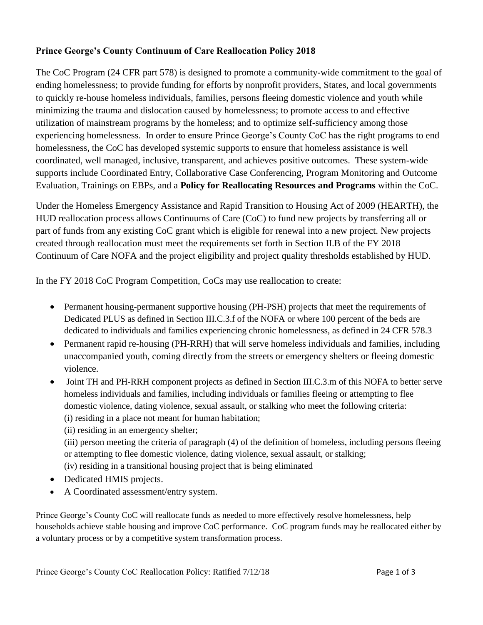## **Prince George's County Continuum of Care Reallocation Policy 2018**

The CoC Program (24 CFR part 578) is designed to promote a community-wide commitment to the goal of ending homelessness; to provide funding for efforts by nonprofit providers, States, and local governments to quickly re-house homeless individuals, families, persons fleeing domestic violence and youth while minimizing the trauma and dislocation caused by homelessness; to promote access to and effective utilization of mainstream programs by the homeless; and to optimize self-sufficiency among those experiencing homelessness. In order to ensure Prince George's County CoC has the right programs to end homelessness, the CoC has developed systemic supports to ensure that homeless assistance is well coordinated, well managed, inclusive, transparent, and achieves positive outcomes. These system-wide supports include Coordinated Entry, Collaborative Case Conferencing, Program Monitoring and Outcome Evaluation, Trainings on EBPs, and a **Policy for Reallocating Resources and Programs** within the CoC.

Under the Homeless Emergency Assistance and Rapid Transition to Housing Act of 2009 (HEARTH), the HUD reallocation process allows Continuums of Care (CoC) to fund new projects by transferring all or part of funds from any existing CoC grant which is eligible for renewal into a new project. New projects created through reallocation must meet the requirements set forth in Section II.B of the FY 2018 Continuum of Care NOFA and the project eligibility and project quality thresholds established by HUD.

In the FY 2018 CoC Program Competition, CoCs may use reallocation to create:

- Permanent housing-permanent supportive housing (PH-PSH) projects that meet the requirements of Dedicated PLUS as defined in Section III.C.3.f of the NOFA or where 100 percent of the beds are dedicated to individuals and families experiencing chronic homelessness, as defined in 24 CFR 578.3
- Permanent rapid re-housing (PH-RRH) that will serve homeless individuals and families, including unaccompanied youth, coming directly from the streets or emergency shelters or fleeing domestic violence.
- Joint TH and PH-RRH component projects as defined in Section III.C.3.m of this NOFA to better serve homeless individuals and families, including individuals or families fleeing or attempting to flee domestic violence, dating violence, sexual assault, or stalking who meet the following criteria: (i) residing in a place not meant for human habitation;
	- (ii) residing in an emergency shelter;

(iii) person meeting the criteria of paragraph (4) of the definition of homeless, including persons fleeing or attempting to flee domestic violence, dating violence, sexual assault, or stalking; (iv) residing in a transitional housing project that is being eliminated

- Dedicated HMIS projects.
- A Coordinated assessment/entry system.

Prince George's County CoC will reallocate funds as needed to more effectively resolve homelessness, help households achieve stable housing and improve CoC performance. CoC program funds may be reallocated either by a voluntary process or by a competitive system transformation process.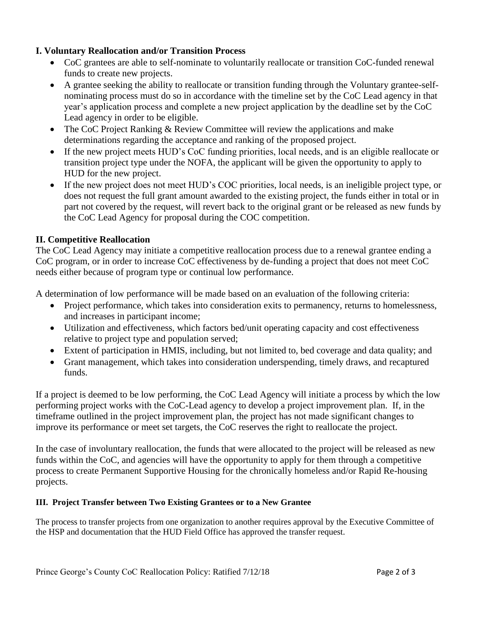## **I. Voluntary Reallocation and/or Transition Process**

- CoC grantees are able to self-nominate to voluntarily reallocate or transition CoC-funded renewal funds to create new projects.
- A grantee seeking the ability to reallocate or transition funding through the Voluntary grantee-selfnominating process must do so in accordance with the timeline set by the CoC Lead agency in that year's application process and complete a new project application by the deadline set by the CoC Lead agency in order to be eligible.
- The CoC Project Ranking & Review Committee will review the applications and make determinations regarding the acceptance and ranking of the proposed project.
- If the new project meets HUD's CoC funding priorities, local needs, and is an eligible reallocate or transition project type under the NOFA, the applicant will be given the opportunity to apply to HUD for the new project.
- If the new project does not meet HUD's COC priorities, local needs, is an ineligible project type, or does not request the full grant amount awarded to the existing project, the funds either in total or in part not covered by the request, will revert back to the original grant or be released as new funds by the CoC Lead Agency for proposal during the COC competition.

# **II. Competitive Reallocation**

The CoC Lead Agency may initiate a competitive reallocation process due to a renewal grantee ending a CoC program, or in order to increase CoC effectiveness by de-funding a project that does not meet CoC needs either because of program type or continual low performance.

A determination of low performance will be made based on an evaluation of the following criteria:

- Project performance, which takes into consideration exits to permanency, returns to homelessness, and increases in participant income;
- Utilization and effectiveness, which factors bed/unit operating capacity and cost effectiveness relative to project type and population served;
- Extent of participation in HMIS, including, but not limited to, bed coverage and data quality; and
- Grant management, which takes into consideration underspending, timely draws, and recaptured funds.

If a project is deemed to be low performing, the CoC Lead Agency will initiate a process by which the low performing project works with the CoC-Lead agency to develop a project improvement plan. If, in the timeframe outlined in the project improvement plan, the project has not made significant changes to improve its performance or meet set targets, the CoC reserves the right to reallocate the project.

In the case of involuntary reallocation, the funds that were allocated to the project will be released as new funds within the CoC, and agencies will have the opportunity to apply for them through a competitive process to create Permanent Supportive Housing for the chronically homeless and/or Rapid Re-housing projects.

#### **III. Project Transfer between Two Existing Grantees or to a New Grantee**

The process to transfer projects from one organization to another requires approval by the Executive Committee of the HSP and documentation that the HUD Field Office has approved the transfer request.